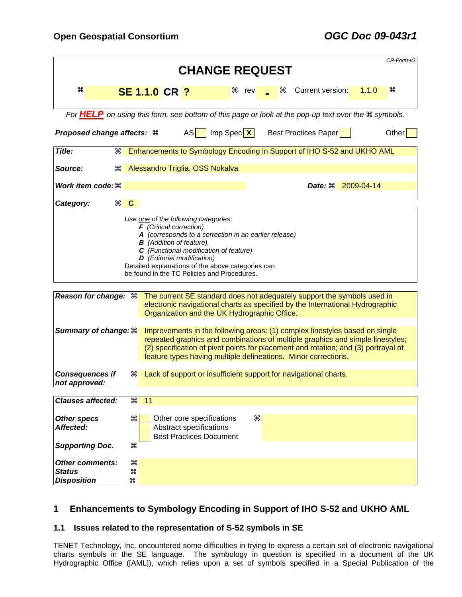|                                                                                                                                                                                                                                                                                                                                           |                                                                                                                                                                                                                                                                                                                       |                      |                                                                                        |                 |   |  |                                                                                                                                                          |       | CR-Form-v3 |
|-------------------------------------------------------------------------------------------------------------------------------------------------------------------------------------------------------------------------------------------------------------------------------------------------------------------------------------------|-----------------------------------------------------------------------------------------------------------------------------------------------------------------------------------------------------------------------------------------------------------------------------------------------------------------------|----------------------|----------------------------------------------------------------------------------------|-----------------|---|--|----------------------------------------------------------------------------------------------------------------------------------------------------------|-------|------------|
| <b>CHANGE REQUEST</b>                                                                                                                                                                                                                                                                                                                     |                                                                                                                                                                                                                                                                                                                       |                      |                                                                                        |                 |   |  |                                                                                                                                                          |       |            |
| æ                                                                                                                                                                                                                                                                                                                                         |                                                                                                                                                                                                                                                                                                                       | <b>SE 1.1.0 CR ?</b> |                                                                                        | ิ <i>H</i> rev  | æ |  | Current version:                                                                                                                                         | 1.1.0 | æ          |
|                                                                                                                                                                                                                                                                                                                                           |                                                                                                                                                                                                                                                                                                                       |                      |                                                                                        |                 |   |  |                                                                                                                                                          |       |            |
|                                                                                                                                                                                                                                                                                                                                           |                                                                                                                                                                                                                                                                                                                       |                      |                                                                                        |                 |   |  | For <b>HELP</b> on using this form, see bottom of this page or look at the pop-up text over the $\#$ symbols.                                            |       |            |
| Proposed change affects: $\mathcal R$                                                                                                                                                                                                                                                                                                     |                                                                                                                                                                                                                                                                                                                       |                      | AS                                                                                     | $Imp \, Spec X$ |   |  | Best Practices Paper                                                                                                                                     |       | Other      |
| Title:<br>æ                                                                                                                                                                                                                                                                                                                               |                                                                                                                                                                                                                                                                                                                       |                      |                                                                                        |                 |   |  | Enhancements to Symbology Encoding in Support of IHO S-52 and UKHO AML                                                                                   |       |            |
| Source:<br>æ                                                                                                                                                                                                                                                                                                                              |                                                                                                                                                                                                                                                                                                                       |                      | Alessandro Triglia, OSS Nokalva                                                        |                 |   |  |                                                                                                                                                          |       |            |
| Work item code: $\mathcal R$                                                                                                                                                                                                                                                                                                              |                                                                                                                                                                                                                                                                                                                       |                      |                                                                                        |                 |   |  | Date: $\frac{12009-04-14}{2009-04-14}$                                                                                                                   |       |            |
| Category:                                                                                                                                                                                                                                                                                                                                 | $\mathcal{H}$ $\mathbf{C}$                                                                                                                                                                                                                                                                                            |                      |                                                                                        |                 |   |  |                                                                                                                                                          |       |            |
| Use one of the following categories:<br>$F$ (Critical correction)<br>A (corresponds to a correction in an earlier release)<br><b>B</b> (Addition of feature),<br>C (Functional modification of feature)<br>D (Editorial modification)<br>Detailed explanations of the above categories can<br>be found in the TC Policies and Procedures. |                                                                                                                                                                                                                                                                                                                       |                      |                                                                                        |                 |   |  |                                                                                                                                                          |       |            |
|                                                                                                                                                                                                                                                                                                                                           |                                                                                                                                                                                                                                                                                                                       |                      |                                                                                        |                 |   |  |                                                                                                                                                          |       |            |
| Reason for change: $\frac{1}{10}$                                                                                                                                                                                                                                                                                                         |                                                                                                                                                                                                                                                                                                                       |                      | Organization and the UK Hydrographic Office.                                           |                 |   |  | The current SE standard does not adequately support the symbols used in<br>electronic navigational charts as specified by the International Hydrographic |       |            |
| <b>Summary of change: <math>\frac{a}{b}</math></b>                                                                                                                                                                                                                                                                                        | Improvements in the following areas: (1) complex linestyles based on single<br>repeated graphics and combinations of multiple graphics and simple linestyles;<br>(2) specification of pivot points for placement and rotation; and (3) portrayal of<br>feature types having multiple delineations. Minor corrections. |                      |                                                                                        |                 |   |  |                                                                                                                                                          |       |            |
| <b>Consequences if</b><br>not approved:                                                                                                                                                                                                                                                                                                   | æ                                                                                                                                                                                                                                                                                                                     |                      |                                                                                        |                 |   |  | Lack of support or insufficient support for navigational charts.                                                                                         |       |            |
|                                                                                                                                                                                                                                                                                                                                           |                                                                                                                                                                                                                                                                                                                       |                      |                                                                                        |                 |   |  |                                                                                                                                                          |       |            |
| <b>Clauses</b> affected:                                                                                                                                                                                                                                                                                                                  | æ                                                                                                                                                                                                                                                                                                                     | 11                   |                                                                                        |                 |   |  |                                                                                                                                                          |       |            |
| <b>Other specs</b><br>Affected:                                                                                                                                                                                                                                                                                                           | æ                                                                                                                                                                                                                                                                                                                     |                      | Other core specifications<br>Abstract specifications<br><b>Best Practices Document</b> |                 | æ |  |                                                                                                                                                          |       |            |
| <b>Supporting Doc.</b>                                                                                                                                                                                                                                                                                                                    | æ                                                                                                                                                                                                                                                                                                                     |                      |                                                                                        |                 |   |  |                                                                                                                                                          |       |            |
| <b>Other comments:</b><br><b>Status</b><br><b>Disposition</b>                                                                                                                                                                                                                                                                             | æ<br>æ<br>æ                                                                                                                                                                                                                                                                                                           |                      |                                                                                        |                 |   |  |                                                                                                                                                          |       |            |

# **1 Enhancements to Symbology Encoding in Support of IHO S-52 and UKHO AML**

## **1.1 Issues related to the representation of S-52 symbols in SE**

TENET Technology, Inc. encountered some difficulties in trying to express a certain set of electronic navigational charts symbols in the SE language. The symbology in question is specified in a document of the UK Hydrographic Office ([AML]), which relies upon a set of symbols specified in a Special Publication of the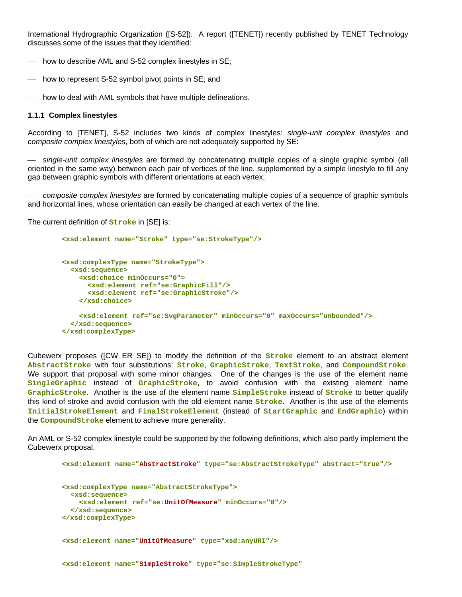International Hydrographic Organization ([S-52]). A report ([TENET]) recently published by TENET Technology discusses some of the issues that they identified:

- how to describe AML and S-52 complex linestyles in SE;
- $\mu$  how to represent S-52 symbol pivot points in SE; and
- $-$  how to deal with AML symbols that have multiple delineations.

### **1.1.1 Complex linestyles**

According to [TENET], S-52 includes two kinds of complex linestyles: *single-unit complex linestyles* and *composite complex linestyles*, both of which are not adequately supported by SE:

⎯ *single-unit complex linestyles* are formed by concatenating multiple copies of a single graphic symbol (all oriented in the same way) between each pair of vertices of the line, supplemented by a simple linestyle to fill any gap between graphic symbols with different orientations at each vertex;

⎯ *composite complex linestyles* are formed by concatenating multiple copies of a sequence of graphic symbols and horizontal lines, whose orientation can easily be changed at each vertex of the line.

The current definition of **Stroke** in [SE] is:

```
 <xsd:element name="Stroke" type="se:StrokeType"/> 
<xsd:complexType name="StrokeType"> 
  <xsd:sequence> 
    <xsd:choice minOccurs="0"> 
      <xsd:element ref="se:GraphicFill"/> 
      <xsd:element ref="se:GraphicStroke"/> 
    </xsd:choice> 
    <xsd:element ref="se:SvgParameter" minOccurs="0" maxOccurs="unbounded"/> 
  </xsd:sequence> 
</xsd:complexType>
```
Cubewerx proposes ([CW ER SE]) to modify the definition of the **Stroke** element to an abstract element **AbstractStroke** with four substitutions: **Stroke**, **GraphicStroke**, **TextStroke**, and **CompoundStroke**. We support that proposal with some minor changes. One of the changes is the use of the element name **SingleGraphic** instead of **GraphicStroke**, to avoid confusion with the existing element name **GraphicStroke**. Another is the use of the element name **SimpleStroke** instead of **Stroke** to better qualify this kind of stroke and avoid confusion with the old element name **Stroke**. Another is the use of the elements **InitialStrokeElement** and **FinalStrokeElement** (instead of **StartGraphic** and **EndGraphic**) within the **CompoundStroke** element to achieve more generality.

<span id="page-1-2"></span><span id="page-1-0"></span>An AML or S-52 complex linestyle could be supported by the following definitions, which also partly implement the Cubewerx proposal.

```
 <xsd:element name="AbstractStroke" type="se:AbstractStrokeType" abstract="true"/> 
<xsd:complexType name="AbstractStrokeType"> 
 <xsd:sequence> 
    <xsd:element ref="se:UnitOfMeasure" minOccurs="0"/> 
  </xsd:sequence> 
</xsd:complexType> 
<xsd:element name="UnitOfMeasure" type="xsd:anyURI"/> 
<xsd:element name="SimpleStroke" type="se:SimpleStrokeType"
```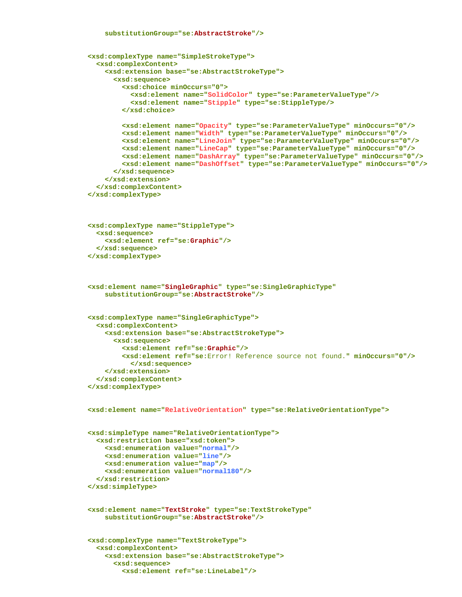```
 <xsd:complexType name="SimpleStrokeType"> 
  <xsd:complexContent> 
    <xsd:extension base="se:AbstractStrokeType"> 
      <xsd:sequence> 
         <xsd:choice minOccurs="0"> 
           <xsd:element name="SolidColor" type="se:ParameterValueType"/> 
           <xsd:element name="Stipple" type="se:StippleType/> 
         </xsd:choice> 
        <xsd:element name="Opacity" type="se:ParameterValueType" minOccurs="0"/> 
        <xsd:element name="Width" type="se:ParameterValueType" minOccurs="0"/> 
         <xsd:element name="LineJoin" type="se:ParameterValueType" minOccurs="0"/> 
         <xsd:element name="LineCap" type="se:ParameterValueType" minOccurs="0"/> 
        <xsd:element name="DashArray" type="se:ParameterValueType" minOccurs="0"/> 
         <xsd:element name="DashOffset" type="se:ParameterValueType" minOccurs="0"/> 
      </xsd:sequence> 
    </xsd:extension> 
  </xsd:complexContent> 
</xsd:complexType> 
<xsd:complexType name="StippleType"> 
  <xsd:sequence> 
    <xsd:element ref="se:Graphic"/> 
  </xsd:sequence> 
</xsd:complexType> 
<xsd:element name="SingleGraphic" type="se:SingleGraphicType" 
    substitutionGroup="se:AbstractStroke"/> 
<xsd:complexType name="SingleGraphicType"> 
  <xsd:complexContent> 
    <xsd:extension base="se:AbstractStrokeType"> 
      <xsd:sequence> 
         <xsd:element ref="se:Graphic"/> 
         <xsd:element ref="se:Error! Reference source not found." minOccurs="0"/> 
           </xsd:sequence> 
    </xsd:extension> 
  </xsd:complexContent> 
</xsd:complexType> 
<xsd:element name="RelativeOrientation" type="se:RelativeOrientationType"> 
<xsd:simpleType name="RelativeOrientationType"> 
  <xsd:restriction base="xsd:token"> 
    <xsd:enumeration value="normal"/> 
    <xsd:enumeration value="line"/> 
    <xsd:enumeration value="map"/> 
    <xsd:enumeration value="normal180"/> 
  </xsd:restriction> 
</xsd:simpleType> 
<xsd:element name="TextStroke" type="se:TextStrokeType" 
    substitutionGroup="se:AbstractStroke"/>
```

```
 <xsd:complexType name="TextStrokeType"> 
  <xsd:complexContent> 
    <xsd:extension base="se:AbstractStrokeType"> 
      <xsd:sequence> 
         <xsd:element ref="se:LineLabel"/>
```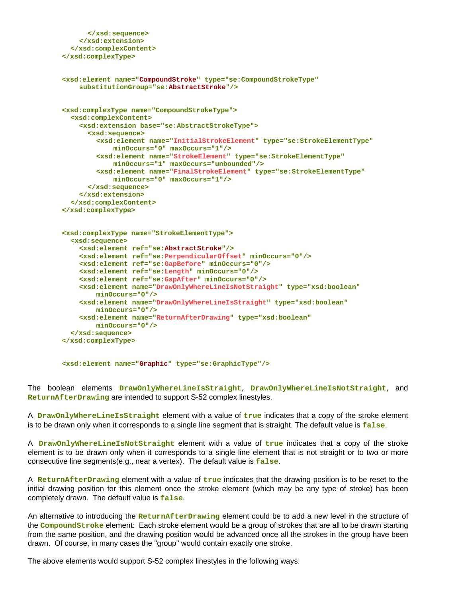```
 </xsd:sequence> 
    </xsd:extension> 
  </xsd:complexContent> 
</xsd:complexType> 
<xsd:element name="CompoundStroke" type="se:CompoundStrokeType" 
    substitutionGroup="se:AbstractStroke"/> 
<xsd:complexType name="CompoundStrokeType"> 
  <xsd:complexContent> 
    <xsd:extension base="se:AbstractStrokeType"> 
      <xsd:sequence> 
        <xsd:element name="InitialStrokeElement" type="se:StrokeElementType" 
             minOccurs="0" maxOccurs="1"/> 
        <xsd:element name="StrokeElement" type="se:StrokeElementType" 
            minOccurs="1" maxOccurs="unbounded"/> 
        <xsd:element name="FinalStrokeElement" type="se:StrokeElementType" 
            minOccurs="0" maxOccurs="1"/> 
      </xsd:sequence> 
    </xsd:extension> 
  </xsd:complexContent> 
</xsd:complexType> 
<xsd:complexType name="StrokeElementType"> 
  <xsd:sequence> 
    <xsd:element ref="se:AbstractStroke"/> 
    <xsd:element ref="se:PerpendicularOffset" minOccurs="0"/> 
    <xsd:element ref="se:GapBefore" minOccurs="0"/> 
    <xsd:element ref="se:Length" minOccurs="0"/> 
    <xsd:element ref="se:GapAfter" minOccurs="0"/> 
    <xsd:element name="DrawOnlyWhereLineIsNotStraight" type="xsd:boolean" 
        minOccurs="0"/> 
    <xsd:element name="DrawOnlyWhereLineIsStraight" type="xsd:boolean" 
        minOccurs="0"/> 
    <xsd:element name="ReturnAfterDrawing" type="xsd:boolean" 
        minOccurs="0"/> 
  </xsd:sequence> 
</xsd:complexType>
```
<span id="page-3-2"></span> **<xsd:element name="Graphic" type="se:GraphicType"/>** 

<span id="page-3-0"></span>The boolean elements **DrawOnlyWhereLineIsStraight**, **DrawOnlyWhereLineIsNotStraight**, and **ReturnAfterDrawing** are intended to support S-52 complex linestyles.

A **DrawOnlyWhereLineIsStraight** element with a value of **true** indicates that a copy of the stroke element is to be drawn only when it corresponds to a single line segment that is straight. The default value is **false**.

A **DrawOnlyWhereLineIsNotStraight** element with a value of **true** indicates that a copy of the stroke element is to be drawn only when it corresponds to a single line element that is not straight or to two or more consecutive line segments(e.g., near a vertex). The default value is **false**.

A **ReturnAfterDrawing** element with a value of **true** indicates that the drawing position is to be reset to the initial drawing position for this element once the stroke element (which may be any type of stroke) has been completely drawn. The default value is **false**.

An alternative to introducing the **ReturnAfterDrawing** element could be to add a new level in the structure of the **CompoundStroke** element: Each stroke element would be a group of strokes that are all to be drawn starting from the same position, and the drawing position would be advanced once all the strokes in the group have been drawn. Of course, in many cases the "group" would contain exactly one stroke.

The above elements would support S-52 complex linestyles in the following ways: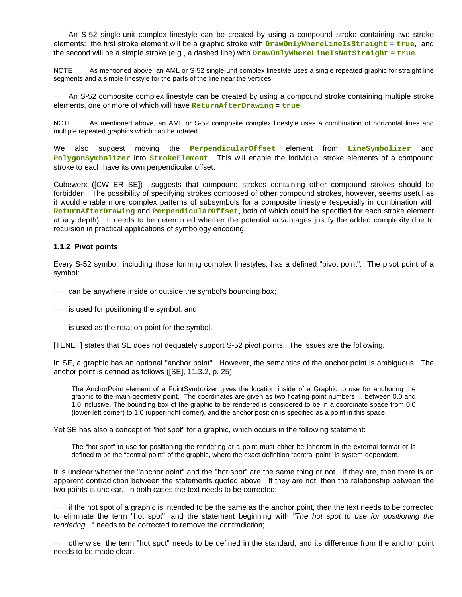⎯ An S-52 single-unit complex linestyle can be created by using a compound stroke containing two stroke elements: the first stroke element will be a graphic stroke with **DrawOnlyWhereLineIsStraight** = **true**, and the second will be a simple stroke (e.g., a dashed line) with **DrawOnlyWhereLineIsNotStraight** = **true**.

NOTE As mentioned above, an AML or S-52 single-unit complex linestyle uses a single repeated graphic for straight line segments and a simple linestyle for the parts of the line near the vertices.

⎯ An S-52 composite complex linestyle can be created by using a compound stroke containing multiple stroke elements, one or more of which will have **ReturnAfterDrawing** = **true**.

NOTE As mentioned above, an AML or S-52 composite complex linestyle uses a combination of horizontal lines and multiple repeated graphics which can be rotated.

We also suggest moving the **PerpendicularOffset** element from **LineSymbolizer** and **PolygonSymbolizer** into **StrokeElement**. This will enable the individual stroke elements of a compound stroke to each have its own perpendicular offset.

Cubewerx ([CW ER SE]) suggests that compound strokes containing other compound strokes should be forbidden. The possibility of specifying strokes composed of other compound strokes, however, seems useful as it would enable more complex patterns of subsymbols for a composite linestyle (especially in combination with **ReturnAfterDrawing** and **PerpendicularOffset**, both of which could be specified for each stroke element at any depth). It needs to be determined whether the potential advantages justify the added complexity due to recursion in practical applications of symbology encoding.

### **1.1.2 Pivot points**

Every S-52 symbol, including those forming complex linestyles, has a defined "pivot point". The pivot point of a symbol:

- can be anywhere inside or outside the symbol's bounding box;
- is used for positioning the symbol; and
- $\equiv$  is used as the rotation point for the symbol.

[TENET] states that SE does not dequately support S-52 pivot points. The issues are the following.

In SE, a graphic has an optional "anchor point". However, the semantics of the anchor point is ambiguous. The anchor point is defined as follows ([SE], 11.3.2, p. 25):

The AnchorPoint element of a PointSymbolizer gives the location inside of a Graphic to use for anchoring the graphic to the main-geometry point. The coordinates are given as two floating-point numbers ... between 0.0 and 1.0 inclusive. The bounding box of the graphic to be rendered is considered to be in a coordinate space from 0.0 (lower-left corner) to 1.0 (upper-right corner), and the anchor position is specified as a point in this space.

Yet SE has also a concept of "hot spot" for a graphic, which occurs in the following statement:

The "hot spot" to use for positioning the rendering at a point must either be inherent in the external format or is defined to be the "central point" of the graphic, where the exact definition "central point" is system-dependent.

It is unclear whether the "anchor point" and the "hot spot" are the same thing or not. If they are, then there is an apparent contradiction between the statements quoted above. If they are not, then the relationship between the two points is unclear. In both cases the text needs to be corrected:

⎯ if the hot spot of a graphic is intended to be the same as the anchor point, then the text needs to be corrected to eliminate the term "hot spot"; and the statement beginning with *"The hot spot to use for positioning the rendering...*" needs to be corrected to remove the contradiction;

⎯ otherwise, the term "hot spot" needs to be defined in the standard, and its difference from the anchor point needs to be made clear.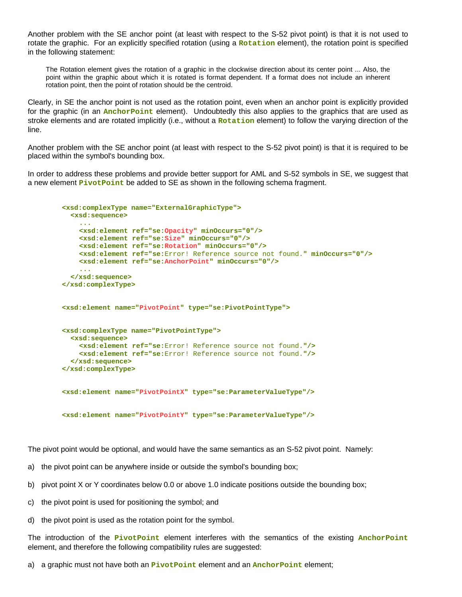Another problem with the SE anchor point (at least with respect to the S-52 pivot point) is that it is not used to rotate the graphic. For an explicitly specified rotation (using a **Rotation** element), the rotation point is specified in the following statement:

The Rotation element gives the rotation of a graphic in the clockwise direction about its center point ... Also, the point within the graphic about which it is rotated is format dependent. If a format does not include an inherent rotation point, then the point of rotation should be the centroid.

Clearly, in SE the anchor point is not used as the rotation point, even when an anchor point is explicitly provided for the graphic (in an **AnchorPoint** element). Undoubtedly this also applies to the graphics that are used as stroke elements and are rotated implicitly (i.e., without a **Rotation** element) to follow the varying direction of the line.

Another problem with the SE anchor point (at least with respect to the S-52 pivot point) is that it is required to be placed within the symbol's bounding box.

In order to address these problems and provide better support for AML and S-52 symbols in SE, we suggest that a new element **PivotPoint** be added to SE as shown in the following schema fragment.

```
 <xsd:complexType name="ExternalGraphicType"> 
    <xsd:sequence> 
      ... 
      <xsd:element ref="se:Opacity" minOccurs="0"/> 
      <xsd:element ref="se:Size" minOccurs="0"/> 
      <xsd:element ref="se:Rotation" minOccurs="0"/> 
      <xsd:element ref="se:Error! Reference source not found." minOccurs="0"/> 
      <xsd:element ref="se:AnchorPoint" minOccurs="0"/> 
... 
    </xsd:sequence> 
 </xsd:complexType> 
 <xsd:element name="PivotPoint" type="se:PivotPointType"> 
 <xsd:complexType name="PivotPointType"> 
    <xsd:sequence> 
      <xsd:element ref="se:Error! Reference source not found."/> 
      <xsd:element ref="se:Error! Reference source not found."/> 
    </xsd:sequence> 
 </xsd:complexType> 
 <xsd:element name="PivotPointX" type="se:ParameterValueType"/> 
 <xsd:element name="PivotPointY" type="se:ParameterValueType"/>
```
The pivot point would be optional, and would have the same semantics as an S-52 pivot point. Namely:

- a) the pivot point can be anywhere inside or outside the symbol's bounding box;
- b) pivot point X or Y coordinates below 0.0 or above 1.0 indicate positions outside the bounding box;
- c) the pivot point is used for positioning the symbol; and
- d) the pivot point is used as the rotation point for the symbol.

The introduction of the **PivotPoint** element interferes with the semantics of the existing **AnchorPoint** element, and therefore the following compatibility rules are suggested:

a) a graphic must not have both an **PivotPoint** element and an **AnchorPoint** element;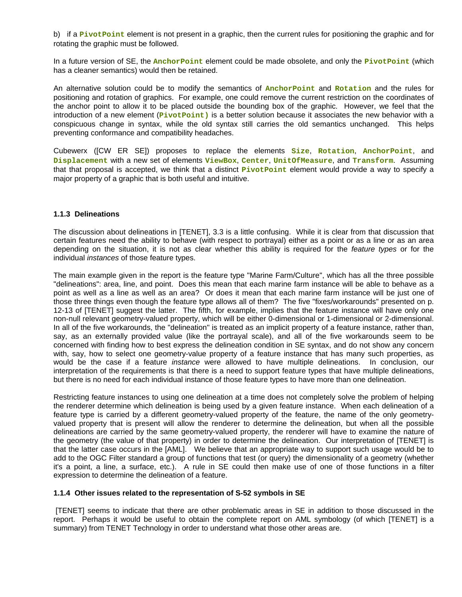b) if a **PivotPoint** element is not present in a graphic, then the current rules for positioning the graphic and for rotating the graphic must be followed.

In a future version of SE, the **AnchorPoint** element could be made obsolete, and only the **PivotPoint** (which has a cleaner semantics) would then be retained.

An alternative solution could be to modify the semantics of **AnchorPoint** and **Rotation** and the rules for positioning and rotation of graphics. For example, one could remove the current restriction on the coordinates of the anchor point to allow it to be placed outside the bounding box of the graphic. However, we feel that the introduction of a new element (**PivotPoint)** is a better solution because it associates the new behavior with a conspicuous change in syntax, while the old syntax still carries the old semantics unchanged. This helps preventing conformance and compatibility headaches.

Cubewerx ([CW ER SE]) proposes to replace the elements **Size**, **Rotation**, **AnchorPoint**, and **Displacement** with a new set of elements **ViewBox**, **Center**, **UnitOfMeasure**, and **Transform**. Assuming that that proposal is accepted, we think that a distinct **PivotPoint** element would provide a way to specify a major property of a graphic that is both useful and intuitive.

### **1.1.3 Delineations**

The discussion about delineations in [TENET], 3.3 is a little confusing. While it is clear from that discussion that certain features need the ability to behave (with respect to portrayal) either as a point or as a line or as an area depending on the situation, it is not as clear whether this ability is required for the *feature types* or for the individual *instances* of those feature types.

The main example given in the report is the feature type "Marine Farm/Culture", which has all the three possible "delineations": area, line, and point. Does this mean that each marine farm instance will be able to behave as a point as well as a line as well as an area? Or does it mean that each marine farm instance will be just one of those three things even though the feature type allows all of them? The five "fixes/workarounds" presented on p. 12-13 of [TENET] suggest the latter. The fifth, for example, implies that the feature instance will have only one non-null relevant geometry-valued property, which will be either 0-dimensional or 1-dimensional or 2-dimensional. In all of the five workarounds, the "delineation" is treated as an implicit property of a feature instance, rather than, say, as an externally provided value (like the portrayal scale), and all of the five workarounds seem to be concerned with finding how to best express the delineation condition in SE syntax, and do not show any concern with, say, how to select one geometry-value property of a feature instance that has many such properties, as would be the case if a feature *instance* were allowed to have multiple delineations. In conclusion, our interpretation of the requirements is that there is a need to support feature types that have multiple delineations, but there is no need for each individual instance of those feature types to have more than one delineation.

Restricting feature instances to using one delineation at a time does not completely solve the problem of helping the renderer determine which delineation is being used by a given feature instance. When each delineation of a feature type is carried by a different geometry-valued property of the feature, the name of the only geometryvalued property that is present will allow the renderer to determine the delineation, but when all the possible delineations are carried by the same geometry-valued property, the renderer will have to examine the nature of the geometry (the value of that property) in order to determine the delineation. Our interpretation of [TENET] is that the latter case occurs in the [AML]. We believe that an appropriate way to support such usage would be to add to the OGC Filter standard a group of functions that test (or query) the dimensionality of a geometry (whether it's a point, a line, a surface, etc.). A rule in SE could then make use of one of those functions in a filter expression to determine the delineation of a feature.

### **1.1.4 Other issues related to the representation of S-52 symbols in SE**

 [TENET] seems to indicate that there are other problematic areas in SE in addition to those discussed in the report. Perhaps it would be useful to obtain the complete report on AML symbology (of which [TENET] is a summary) from TENET Technology in order to understand what those other areas are.